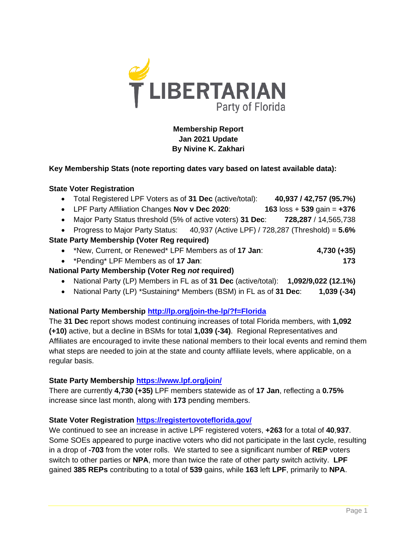

# **Membership Report Jan 2021 Update By Nivine K. Zakhari**

### **Key Membership Stats (note reporting dates vary based on latest available data):**

#### **State Voter Registration**

| • Total Registered LPF Voters as of 31 Dec (active/total):                         | 40,937 / 42,757 (95.7%)                     |
|------------------------------------------------------------------------------------|---------------------------------------------|
| • LPF Party Affiliation Changes Nov v Dec 2020:                                    | 163 $\text{loss} + 539 \text{ gain} = +376$ |
| • Major Party Status threshold (5% of active voters) 31 Dec:                       | 728,287 / 14,565,738                        |
| • Progress to Major Party Status: 40,937 (Active LPF) / 728,287 (Threshold) = 5.6% |                                             |
| <b>State Party Membership (Voter Reg required)</b>                                 |                                             |
| • *New, Current, or Renewed* LPF Members as of 17 Jan:                             | $4,730 (+35)$                               |
| • *Pending* LPF Members as of 17 Jan:                                              | 173                                         |
| National Party Membership (Voter Reg not required)                                 |                                             |

- National Party (LP) Members in FL as of **31 Dec** (active/total): **1,092/9,022 (12.1%)**
- National Party (LP) \*Sustaining\* Members (BSM) in FL as of **31 Dec**: **1,039 (-34)**

## **National Party Membership<http://lp.org/join-the-lp/?f=Florida>**

The **31 Dec** report shows modest continuing increases of total Florida members, with **1,092 (+10)** active, but a decline in BSMs for total **1,039 (-34)**. Regional Representatives and Affiliates are encouraged to invite these national members to their local events and remind them what steps are needed to join at the state and county affiliate levels, where applicable, on a regular basis.

### **State Party Membership <https://www.lpf.org/join/>**

There are currently **4,730 (+35)** LPF members statewide as of **17 Jan**, reflecting a **0.75%** increase since last month, along with **173** pending members.

### **State Voter Registration<https://registertovoteflorida.gov/>**

We continued to see an increase in active LPF registered voters, **+263** for a total of **40**,**937**. Some SOEs appeared to purge inactive voters who did not participate in the last cycle, resulting in a drop of **-703** from the voter rolls. We started to see a significant number of **REP** voters switch to other parties or **NPA**, more than twice the rate of other party switch activity. **LPF** gained **385 REPs** contributing to a total of **539** gains, while **163** left **LPF**, primarily to **NPA**.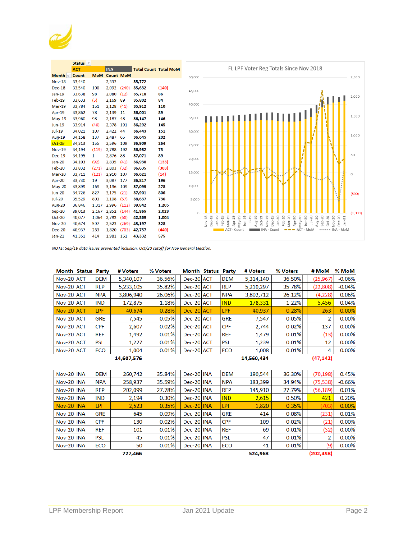

|               | Status <b>v</b> |            |                  |       |                              |       |
|---------------|-----------------|------------|------------------|-------|------------------------------|-------|
|               | <b>ACT</b>      |            | <b>INA</b>       |       | <b>Total Count Total MoN</b> |       |
| Month -       | Count           | <b>MoM</b> | <b>Count MoM</b> |       |                              |       |
| <b>Nov-18</b> | 33,440          |            | 2,332            |       | 35,772                       |       |
| $Dec-18$      | 33,540          | 100        | 2,092            | (240) | 35,632                       | (140) |
| $Jan-19$      | 33,638          | 98         | 2,080            | (12)  | 35,718                       | 86    |
| $Feb-19$      | 33,633          | (5)        | 2,169            | 89    | 35,802                       | 84    |
| $Mar-19$      | 33,784          | 151        | 2,128            | (41)  | 35,912                       | 110   |
| Apr-19        | 33,862          | 78         | 2,139            | 11    | 36,001                       | 89    |
| May-19        | 33,960          | 98         | 2,187            | 48    | 36,147                       | 146   |
| <b>Jun-19</b> | 33,914          | (46)       | 2,378            | 191   | 36,292                       | 145   |
| Jul-19        | 34,021          | 107        | 2,422            | 44    | 36,443                       | 151   |
| Aug-19        | 34,158          | 137        | 2,487            | 65    | 36,645                       | 202   |
| $Oct-19$      | 34.313          | 155        | 2,596            | 109   | 36,909                       | 264   |
| <b>Nov-19</b> | 34,194          | (119)      | 2,788            | 192   | 36,982                       | 73    |
| Dec-19        | 34,195          | 1          | 2,876            | 88    | 37,071                       | 89    |
| $Jan-20$      | 34,103          | (92)       | 2,835            | (41)  | 36,938                       | (133) |
| Feb-20        | 33,832          | (271)      | 2,803            | (32)  | 36,635                       | (303) |
| Mar-20        | 33,711          | (121)      | 2,910            | 107   | 36,621                       | (14)  |
| Apr-20        | 33,730          | 19         | 3.087            | 177   | 36,817                       | 196   |
| $May-20$      | 33,899          | 169        | 3,196            | 109   | 37,095                       | 278   |
| <b>Jun-20</b> | 34,726          | 827        | 3,175            | (21)  | 37,901                       | 806   |
| <b>Jul-20</b> | 35,529          | 803        | 3,108            | (67)  | 38,637                       | 736   |
| <b>Aug-20</b> | 36,846          | 1,317      | 2,996            | (112) | 39,842                       | 1,205 |
| $Sep-20$      | 39,013          | 2,167      | 2,852            | (144) | 41,865                       | 2,023 |
| $Oct-20$      | 40,077          | 1,064      | 2,792            | (60)  | 42,869                       | 1,004 |
| <b>Nov-20</b> | 40,674          | 597        | 2,523            | (269) | 43,197                       | 328   |
| <b>Dec-20</b> | 40,937          | 263        | 1,820            | (703) | 42,757                       | (440) |
| $Jan-21$      | 41,351          | 414        | 1,981            | 161   | 43,332                       | 575   |



NOTE: Sep/19 data issues prevented inclusion. Oct/20 cutoff for Nov General Election.

| Month Status Party |            | # Voters   | % Voters | Month Status Party |            | # Voters   | % Voters | # MoM          | % MoM    |
|--------------------|------------|------------|----------|--------------------|------------|------------|----------|----------------|----------|
| Nov-20 ACT         | <b>DEM</b> | 5,340,107  | 36.56%   | Dec-20 ACT         | <b>DEM</b> | 5,314,140  | 36.50%   | (25, 967)      | $-0.06%$ |
| Nov-20 ACT         | <b>REP</b> | 5,233,105  | 35.82%   | Dec-20 ACT         | <b>REP</b> | 5,210,297  | 35.78%   | (22, 808)      | $-0.04%$ |
| Nov-20 ACT         | <b>NPA</b> | 3,806,940  | 26.06%   | Dec-20 ACT         | <b>NPA</b> | 3,802,712  | 26.12%   | (4,228)        | 0.06%    |
| Nov-20 ACT         | <b>IND</b> | 172,875    | 1.18%    | Dec-20 ACT         | <b>IND</b> | 178,331    | 1.22%    | 5,456          | 0.04%    |
| Nov-20 ACT         | LPF        | 40,674     | 0.28%    | Dec-20 ACT         | LPF        | 40,937     | 0.28%    | 263            | 0.00%    |
| Nov-20 ACT         | <b>GRE</b> | 7,545      | 0.05%    | Dec-20 ACT         | <b>GRE</b> | 7.547      | 0.05%    | $\overline{2}$ | 0.00%    |
| Nov-20 ACT         | <b>CPF</b> | 2,607      | 0.02%    | Dec-20 ACT         | <b>CPF</b> | 2.744      | 0.02%    | 137            | $0.00\%$ |
| Nov-20 ACT         | <b>REF</b> | 1,492      | 0.01%    | Dec-20 ACT         | <b>REF</b> | 1,479      | 0.01%    | (13)           | 0.00%    |
| Nov-20 ACT         | <b>PSL</b> | 1,227      | 0.01%    | Dec-20 ACT         | <b>PSL</b> | 1,239      | 0.01%    | 12             | 0.00%    |
| Nov-20 ACT         | ECO        | 1.004      | 0.01%    | Dec-20 ACT         | <b>ECO</b> | 1.008      | 0.01%    | 4              | 0.00%    |
|                    |            | 14,607,576 |          |                    |            | 14,560,434 |          | (47, 142)      |          |

| Nov-20 INA        |  | <b>DEM</b> | 260,742 | 35.84% |  | Dec-20 INA | <b>DEM</b> | 190,544 | 36.30% | (70, 198)  | 0.45%    |
|-------------------|--|------------|---------|--------|--|------------|------------|---------|--------|------------|----------|
| Nov-20 INA        |  | <b>NPA</b> | 258,937 | 35.59% |  | Dec-20 INA | <b>NPA</b> | 183,399 | 34.94% | (75, 538)  | $-0.66%$ |
| Nov-20 INA        |  | <b>REP</b> | 202,099 | 27.78% |  | Dec-20 INA | <b>REP</b> | 145,910 | 27.79% | (56, 189)  | 0.01%    |
| Nov-20 INA        |  | <b>IND</b> | 2,194   | 0.30%  |  | Dec-20 INA | <b>IND</b> | 2,615   | 0.50%  | 421        | 0.20%    |
| Nov-20 INA        |  | <b>LPF</b> | 2,523   | 0.35%  |  | Dec-20 INA | <b>LPF</b> | 1,820   | 0.35%  | (703       | 0.00%    |
| Nov-20 INA        |  | <b>GRE</b> | 645     | 0.09%  |  | Dec-20 INA | <b>GRE</b> | 414     | 0.08%  | (231)      | $-0.01%$ |
| Nov-20 INA        |  | <b>CPF</b> | 130     | 0.02%  |  | Dec-20 INA | <b>CPF</b> | 109     | 0.02%  | (21)       | 0.00%    |
| Nov-20 INA        |  | <b>REF</b> | 101     | 0.01%  |  | Dec-20 INA | <b>REF</b> | 69      | 0.01%  | (32)       | 0.00%    |
| Nov-20 INA        |  | <b>PSL</b> | 45      | 0.01%  |  | Dec-20 INA | <b>PSL</b> | 47      | 0.01%  |            | 0.00%    |
| <b>Nov-20 INA</b> |  | ECO        | 50      | 0.01%  |  | Dec-20 INA | <b>ECO</b> | 41      | 0.01%  | (9)        | 0.00%    |
| 727,466           |  |            |         |        |  |            |            | 524,968 |        | (202, 498) |          |